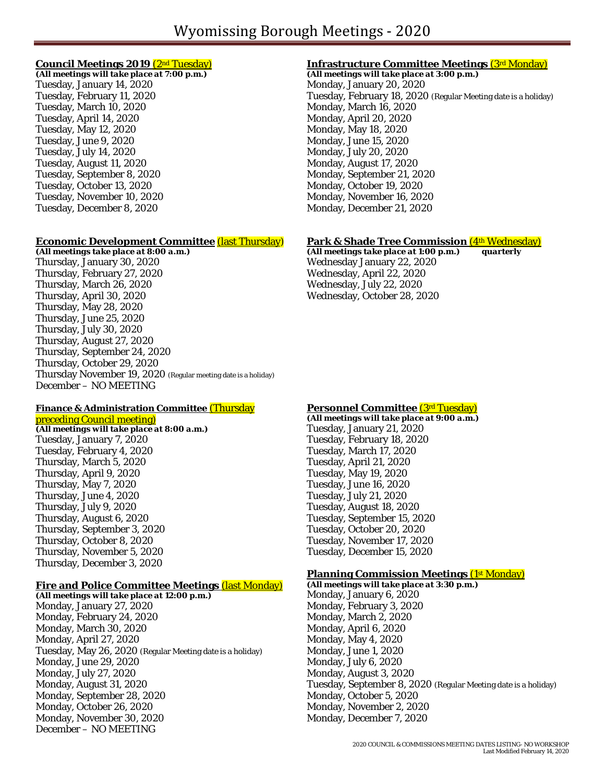#### **Council Meetings 2019** (2nd Tuesday)

*(All meetings will take place at 7:00 p.m.)* Tuesday, January 14, 2020 Tuesday, February 11, 2020 Tuesday, March 10, 2020 Tuesday, April 14, 2020 Tuesday, May 12, 2020 Tuesday, June 9, 2020 Tuesday, July 14, 2020 Tuesday, August 11, 2020 Tuesday, September 8, 2020 Tuesday, October 13, 2020 Tuesday, November 10, 2020 Tuesday, December 8, 2020

#### **Economic Development Committee (last Thursday)**

*(All meetings take place at 8:00 a.m.)* Thursday, January 30, 2020 Thursday, February 27, 2020 Thursday, March 26, 2020 Thursday, April 30, 2020 Thursday, May 28, 2020 Thursday, June 25, 2020 Thursday, July 30, 2020 Thursday, August 27, 2020 Thursday, September 24, 2020 Thursday, October 29, 2020 Thursday November 19, 2020 (Regular meeting date is a holiday) December – NO MEETING

#### **Finance & Administration Committee** (Thursday preceding Council meeting)

*(All meetings will take place at 8:00 a.m.)* Tuesday, January 7, 2020 Tuesday, February 4, 2020 Thursday, March 5, 2020 Thursday, April 9, 2020 Thursday, May 7, 2020 Thursday, June 4, 2020 Thursday, July 9, 2020 Thursday, August 6, 2020 Thursday, September 3, 2020 Thursday, October 8, 2020 Thursday, November 5, 2020 Thursday, December 3, 2020

#### **Fire and Police Committee Meetings (last Monday)**

*(All meetings will take place at 12:00 p.m.)* Monday, January 27, 2020 Monday, February 24, 2020 Monday, March 30, 2020 Monday, April 27, 2020 Tuesday, May 26, 2020 (Regular Meeting date is a holiday) Monday, June 29, 2020 Monday, July 27, 2020 Monday, August 31, 2020 Monday, September 28, 2020 Monday, October 26, 2020 Monday, November 30, 2020 December – NO MEETING

## **Infrastructure Committee Meetings** (3rd Monday)

*(All meetings will take place at 3:00 p.m.)* Monday, January 20, 2020 Tuesday, February 18, 2020 (Regular Meeting date is a holiday) Monday, March 16, 2020 Monday, April 20, 2020 Monday, May 18, 2020 Monday, June 15, 2020 Monday, July 20, 2020 Monday, August 17, 2020 Monday, September 21, 2020 Monday, October 19, 2020 Monday, November 16, 2020 Monday, December 21, 2020

### **Park & Shade Tree Commission** (4th Wednesday)

*(All meetings take place at 1:00 p.m.) quarterly* Wednesday January 22, 2020 Wednesday, April 22, 2020 Wednesday, July 22, 2020 Wednesday, October 28, 2020

## **Personnel Committee** (3rd Tuesday)

*(All meetings will take place at 9:00 a.m.)* Tuesday, January 21, 2020 Tuesday, February 18, 2020 Tuesday, March 17, 2020 Tuesday, April 21, 2020 Tuesday, May 19, 2020 Tuesday, June 16, 2020 Tuesday, July 21, 2020 Tuesday, August 18, 2020 Tuesday, September 15, 2020 Tuesday, October 20, 2020 Tuesday, November 17, 2020 Tuesday, December 15, 2020

## **Planning Commission Meetings** (1<sup>st</sup> Monday)

*(All meetings will take place at 3:30 p.m.)* Monday, January 6, 2020 Monday, February 3, 2020 Monday, March 2, 2020 Monday, April 6, 2020 Monday, May 4, 2020 Monday, June 1, 2020 Monday, July 6, 2020 Monday, August 3, 2020 Tuesday, September 8, 2020 (Regular Meeting date is a holiday) Monday, October 5, 2020 Monday, November 2, 2020 Monday, December 7, 2020